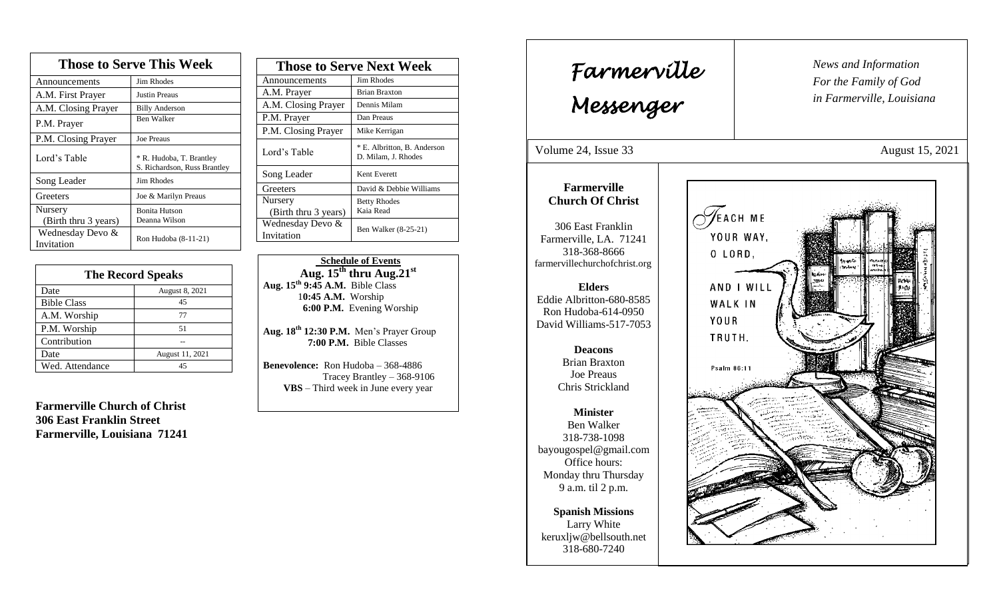| <b>Those to Serve This Week</b> |                                                          |  |
|---------------------------------|----------------------------------------------------------|--|
| Announcements                   | Jim Rhodes                                               |  |
| A.M. First Prayer               | Justin Preaus                                            |  |
| A.M. Closing Prayer             | <b>Billy Anderson</b>                                    |  |
| P.M. Prayer                     | <b>Ben Walker</b>                                        |  |
| P.M. Closing Prayer             | <b>Joe Preaus</b>                                        |  |
| Lord's Table                    | * R. Hudoba, T. Brantley<br>S. Richardson, Russ Brantley |  |
| Song Leader                     | Jim Rhodes                                               |  |
| Greeters                        | Joe & Marilyn Preaus                                     |  |
| Nursery<br>(Birth thru 3 years) | <b>Bonita Hutson</b><br>Deanna Wilson                    |  |
| Wednesday Devo &<br>Invitation  | Ron Hudoba (8-11-21)                                     |  |

| <b>The Record Speaks</b> |                 |
|--------------------------|-----------------|
| Date                     | August 8, 2021  |
| <b>Bible Class</b>       | 45              |
| A.M. Worship             | 77              |
| P.M. Worship             | 51              |
| Contribution             |                 |
| Date                     | August 11, 2021 |
| Wed. Attendance          | 45              |

**Farmerville Church of Christ 306 East Franklin Street Farmerville, Louisiana 71241**

| <b>Those to Serve Next Week</b> |                                                    |
|---------------------------------|----------------------------------------------------|
| Announcements                   | Jim Rhodes                                         |
| A.M. Prayer                     | <b>Brian Braxton</b>                               |
| A.M. Closing Prayer             | Dennis Milam                                       |
| P.M. Prayer                     | Dan Preaus                                         |
| P.M. Closing Prayer             | Mike Kerrigan                                      |
| Lord's Table                    | * E. Albritton, B. Anderson<br>D. Milam, J. Rhodes |
| Song Leader                     | Kent Everett                                       |
| Greeters                        | David & Debbie Williams                            |
| Nursery                         | <b>Betty Rhodes</b>                                |
| (Birth thru 3 years)            | Kaia Read                                          |
| Wednesday Devo &                | Ben Walker (8-25-21)                               |
| Invitation                      |                                                    |

 **Schedule of Events**  $Au$ g.  $15<sup>th</sup>$  thru  $Au$ g.  $21<sup>st</sup>$ **Aug. 15th 9:45 A.M.** Bible Class 1**0:45 A.M.** Worship  **6:00 P.M.** Evening Worship

**Aug. 18 th 12:30 P.M.** Men's Prayer Group **7:00 P.M.** Bible Classes

**Benevolence:** Ron Hudoba – 368-4886 Tracey Brantley – 368-9106 **VBS** – Third week in June every year